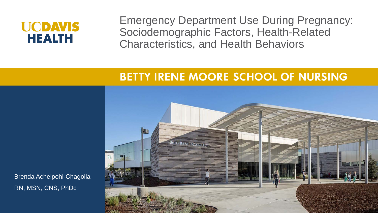#### **UCDAVIS HEALTH**

Emergency Department Use During Pregnancy: Sociodemographic Factors, Health-Related Characteristics, and Health Behaviors

#### **BETTY IRENE MOORE SCHOOL OF NURSING**



Brenda Achelpohl-Chagolla RN, MSN, CNS, PhDc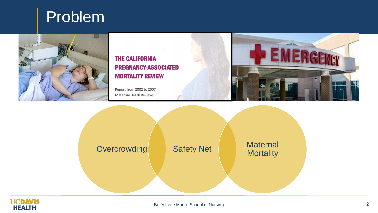



#### **THE CALIFORNIA PREGNANCY-ASSOCIATED MORTALITY REVIEW**

Report from 2002 to 2007 **Maternal Death Reviews** 



Overcrowding Safety Net Maternal **Mortality** 

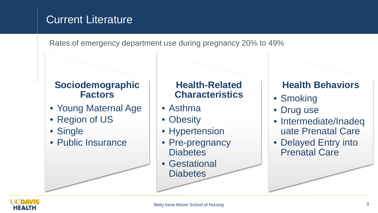#### Current Literature

Rates of emergency department use during pregnancy 20% to 49%

#### **Sociodemographic Factors**

- Young Maternal Age
- Region of US
- Single
- Public Insurance

#### **Health-Related Characteristics**

- Asthma
- Obesity
- Hypertension
- Pre-pregnancy **Diabetes**
- Gestational **Diabetes**

#### **Health Behaviors**

- Smoking
- Drug use
- Intermediate/Inadeq uate Prenatal Care
- Delayed Entry into Prenatal Care

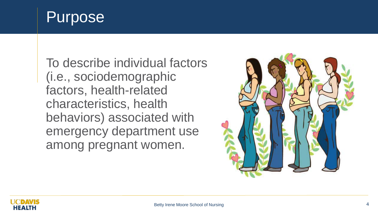## Purpose

To describe individual factors (i.e., sociodemographic factors, health-related characteristics, health behaviors) associated with emergency department use among pregnant women.



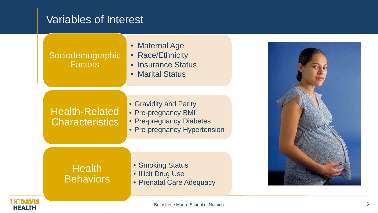#### Variables of Interest

the contract of the contract of the contract of

**HEALTH** 

| Sociodemographic<br>Factors                     | • Maternal Age<br>• Race/Ethnicity<br>• Insurance Status<br>• Marital Status                              |  |
|-------------------------------------------------|-----------------------------------------------------------------------------------------------------------|--|
| <b>Health-Related</b><br><b>Characteristics</b> | • Gravidity and Parity<br>• Pre-pregnancy BMI<br>• Pre-pregnancy Diabetes<br>• Pre-pregnancy Hypertension |  |
| <b>Health</b><br><b>Behaviors</b>               | • Smoking Status<br>• Illicit Drug Use<br>• Prenatal Care Adequacy                                        |  |
|                                                 |                                                                                                           |  |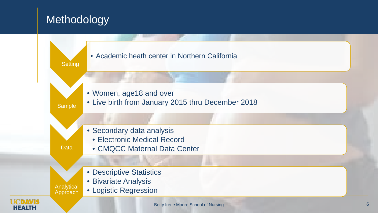#### **Methodology**

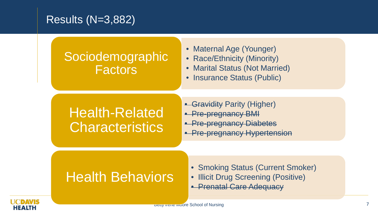#### Results (N=3,882)

### **Sociodemographic** Factors

- Maternal Age (Younger)
- Race/Ethnicity (Minority)
- Marital Status (Not Married)
- Insurance Status (Public)

## Health-Related **Characteristics**

- Gravidity Parity (Higher)
- Pre-pregnancy BMI
- **Pre-pregnancy Diabetes**
- **Pre-pregnancy Hypertension**

## Health Behaviors

- Smoking Status (Current Smoker)
- Illicit Drug Screening (Positive)
- Prenatal Care Adequacy

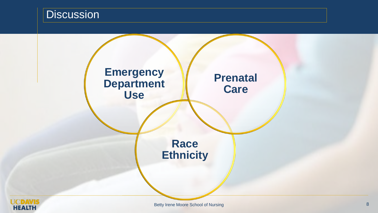#### **Discussion**



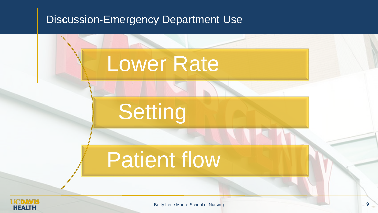#### Discussion-Emergency Department Use



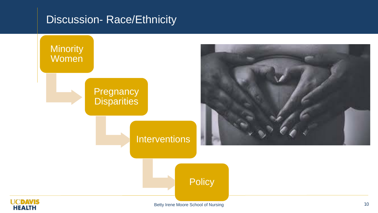#### Discussion- Race/Ethnicity

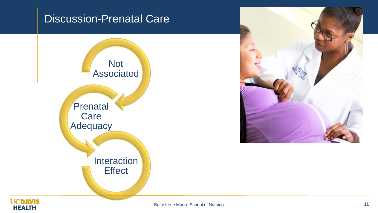#### Discussion-Prenatal Care





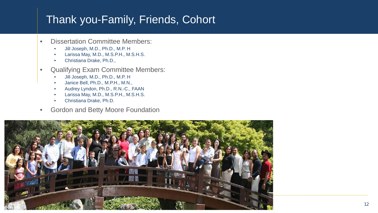#### Thank you-Family, Friends, Cohort

- Dissertation Committee Members:
	- Jill Joseph, M.D., Ph.D., M.P. H
	- Larissa May, M.D., M.S.P.H., M.S.H.S.
	- Christiana Drake, Ph.D.,
- Qualifying Exam Committee Members:
	- Jill Joseph, M.D., Ph.D., M.P. H
	- Janice Bell, Ph.D., M.P.H., M.N.,
	- Audrey Lyndon, Ph.D., R.N.-C., FAAN
	- Larissa May, M.D., M.S.P.H., M.S.H.S.
	- Christiana Drake, Ph.D.
- Gordon and Betty Moore Foundation